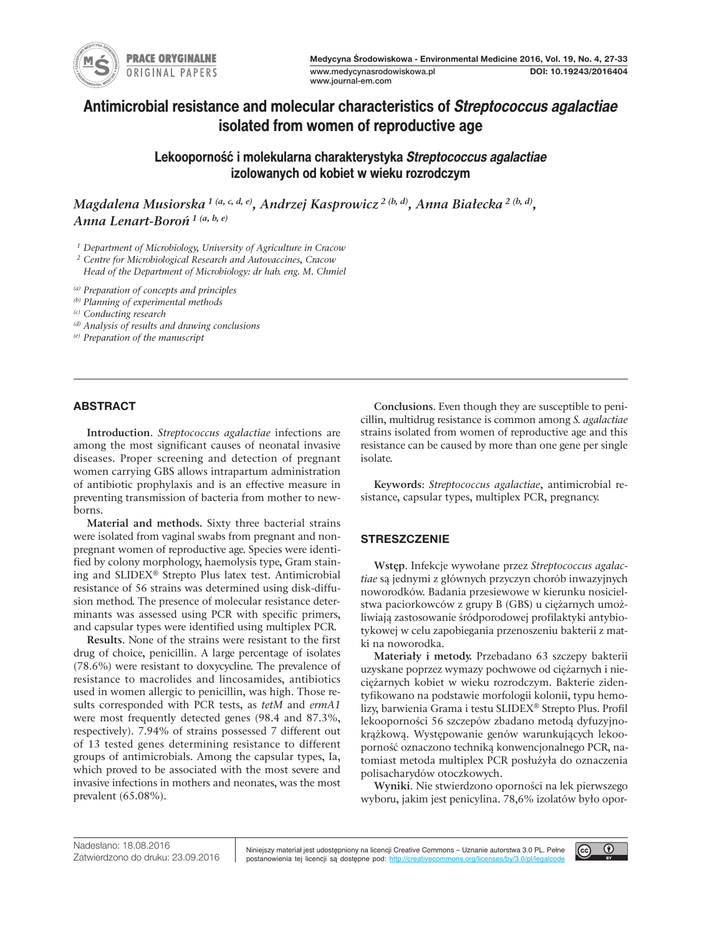

# **Antimicrobial resistance and molecular characteristics of** *Streptococcus agalactiae* **isolated from women of reproductive age**

**Lekooporność i molekularna charakterystyka** *Streptococcus agalactiae* **izolowanych od kobiet w wieku rozrodczym**

Magdalena Musiorska <sup>1 (a, c, d, e)</sup>, Andrzej Kasprowicz <sup>2 (b, d)</sup>, Anna Białecka <sup>2 (b, d)</sup>, *Anna Lenart-Boroń <sup>1</sup> (a, b, e)*

*<sup>1</sup> Department of Microbiology, University of Agriculture in Cracow*

*<sup>2</sup> Centre for Microbiological Research and Autovaccines, Cracow*

*Head of the Department of Microbiology: dr hab. eng. M. Chmiel*

*(a) Preparation of concepts and principles*

*(b) Planning of experimental methods*

*(c) Conducting research*

*(d) Analysis of results and drawing conclusions*

*(e) Preparation of the manuscript*

# **AbstrAct**

**Introduction**. *Streptococcus agalactiae* infections are among the most significant causes of neonatal invasive diseases. Proper screening and detection of pregnant women carrying GBS allows intrapartum administration of antibiotic prophylaxis and is an effective measure in preventing transmission of bacteria from mother to newborns.

**Material and methods.** Sixty three bacterial strains were isolated from vaginal swabs from pregnant and nonpregnant women of reproductive age. Species were identified by colony morphology, haemolysis type, Gram staining and SLIDEX® Strepto Plus latex test. Antimicrobial resistance of 56 strains was determined using disk-diffusion method. The presence of molecular resistance determinants was assessed using PCR with specific primers, and capsular types were identified using multiplex PCR.

**Results**. None of the strains were resistant to the first drug of choice, penicillin. A large percentage of isolates (78.6%) were resistant to doxycycline. The prevalence of resistance to macrolides and lincosamides, antibiotics used in women allergic to penicillin, was high. Those results corresponded with PCR tests, as *tetM* and *ermA1* were most frequently detected genes (98.4 and 87.3%, respectively). 7.94% of strains possessed 7 different out of 13 tested genes determining resistance to different groups of antimicrobials. Among the capsular types, Ia, which proved to be associated with the most severe and invasive infections in mothers and neonates, was the most prevalent (65.08%).

**Conclusions**. Even though they are susceptible to penicillin, multidrug resistance is common among *S. agalactiae* strains isolated from women of reproductive age and this resistance can be caused by more than one gene per single isolate.

**Keywords**: *Streptococcus agalactiae*, antimicrobial resistance, capsular types, multiplex PCR, pregnancy.

# **strEszczENIE**

**Wstęp**. Infekcje wywołane przez *Streptococcus agalactiae* są jednymi z głównych przyczyn chorób inwazyjnych noworodków. Badania przesiewowe w kierunku nosicielstwa paciorkowców z grupy B (GBS) u ciężarnych umożliwiają zastosowanie śródporodowej profilaktyki antybiotykowej w celu zapobiegania przenoszeniu bakterii z matki na noworodka.

**Materiały i metody.** Przebadano 63 szczepy bakterii uzyskane poprzez wymazy pochwowe od ciężarnych i nieciężarnych kobiet w wieku rozrodczym. Bakterie zidentyfikowano na podstawie morfologii kolonii, typu hemolizy, barwienia Grama i testu SLIDEX® Strepto Plus. Profil lekooporności 56 szczepów zbadano metodą dyfuzyjnokrążkową. Występowanie genów warunkujących lekooporność oznaczono techniką konwencjonalnego PCR, natomiast metoda multiplex PCR posłużyła do oznaczenia polisacharydów otoczkowych.

**Wyniki**. Nie stwierdzono oporności na lek pierwszego wyboru, jakim jest penicylina. 78,6% izolatów było opor-

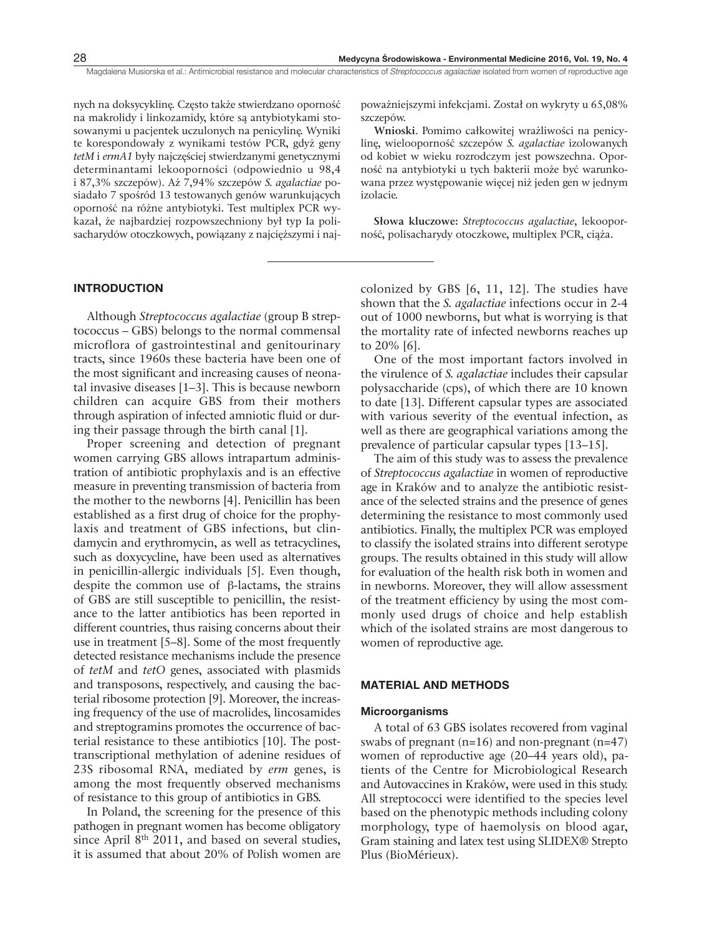nych na doksycyklinę. Często także stwierdzano oporność na makrolidy i linkozamidy, które są antybiotykami stosowanymi u pacjentek uczulonych na penicylinę. Wyniki te korespondowały z wynikami testów PCR, gdyż geny *tetM* i *ermA1* były najczęściej stwierdzanymi genetycznymi determinantami lekooporności (odpowiednio u 98,4 i 87,3% szczepów). Aż 7,94% szczepów *S. agalactiae* posiadało 7 spośród 13 testowanych genów warunkujących oporność na różne antybiotyki. Test multiplex PCR wykazał, że najbardziej rozpowszechniony był typ Ia polisacharydów otoczkowych, powiązany z najcięższymi i naj-

## **INtrODuctION**

Although *Streptococcus agalactiae* (group B streptococcus – GBS) belongs to the normal commensal microflora of gastrointestinal and genitourinary tracts, since 1960s these bacteria have been one of the most significant and increasing causes of neonatal invasive diseases [1–3]. This is because newborn children can acquire GBS from their mothers through aspiration of infected amniotic fluid or during their passage through the birth canal [1].

Proper screening and detection of pregnant women carrying GBS allows intrapartum administration of antibiotic prophylaxis and is an effective measure in preventing transmission of bacteria from the mother to the newborns [4]. Penicillin has been established as a first drug of choice for the prophylaxis and treatment of GBS infections, but clindamycin and erythromycin, as well as tetracyclines, such as doxycycline, have been used as alternatives in penicillin-allergic individuals [5]. Even though, despite the common use of β-lactams, the strains of GBS are still susceptible to penicillin, the resistance to the latter antibiotics has been reported in different countries, thus raising concerns about their use in treatment [5–8]. Some of the most frequently detected resistance mechanisms include the presence of *tetM* and *tetO* genes, associated with plasmids and transposons, respectively, and causing the bacterial ribosome protection [9]. Moreover, the increasing frequency of the use of macrolides, lincosamides and streptogramins promotes the occurrence of bacterial resistance to these antibiotics [10]. The posttranscriptional methylation of adenine residues of 23S ribosomal RNA, mediated by *erm* genes, is among the most frequently observed mechanisms of resistance to this group of antibiotics in GBS.

In Poland, the screening for the presence of this pathogen in pregnant women has become obligatory since April  $8<sup>th</sup>$  2011, and based on several studies, it is assumed that about 20% of Polish women are poważniejszymi infekcjami. Został on wykryty u 65,08% szczepów.

**Wnioski**. Pomimo całkowitej wrażliwości na penicylinę, wielooporność szczepów *S. agalactiae* izolowanych od kobiet w wieku rozrodczym jest powszechna. Oporność na antybiotyki u tych bakterii może być warunkowana przez występowanie więcej niż jeden gen w jednym izolacie.

**Słowa kluczowe:** *Streptococcus agalactiae*, lekooporność, polisacharydy otoczkowe, multiplex PCR, ciąża.

colonized by GBS [6, 11, 12]. The studies have shown that the *S. agalactiae* infections occur in 2-4 out of 1000 newborns, but what is worrying is that the mortality rate of infected newborns reaches up to 20% [6].

One of the most important factors involved in the virulence of *S. agalactiae* includes their capsular polysaccharide (cps), of which there are 10 known to date [13]. Different capsular types are associated with various severity of the eventual infection, as well as there are geographical variations among the prevalence of particular capsular types [13–15].

The aim of this study was to assess the prevalence of *Streptococcus agalactiae* in women of reproductive age in Kraków and to analyze the antibiotic resistance of the selected strains and the presence of genes determining the resistance to most commonly used antibiotics. Finally, the multiplex PCR was employed to classify the isolated strains into different serotype groups. The results obtained in this study will allow for evaluation of the health risk both in women and in newborns. Moreover, they will allow assessment of the treatment efficiency by using the most commonly used drugs of choice and help establish which of the isolated strains are most dangerous to women of reproductive age.

#### **MAtErIAl AND MEthODs**

# **Microorganisms**

A total of 63 GBS isolates recovered from vaginal swabs of pregnant ( $n=16$ ) and non-pregnant ( $n=47$ ) women of reproductive age (20–44 years old), patients of the Centre for Microbiological Research and Autovaccines in Kraków, were used in this study. All streptococci were identified to the species level based on the phenotypic methods including colony morphology, type of haemolysis on blood agar, Gram staining and latex test using SLIDEX® Strepto Plus (BioMérieux).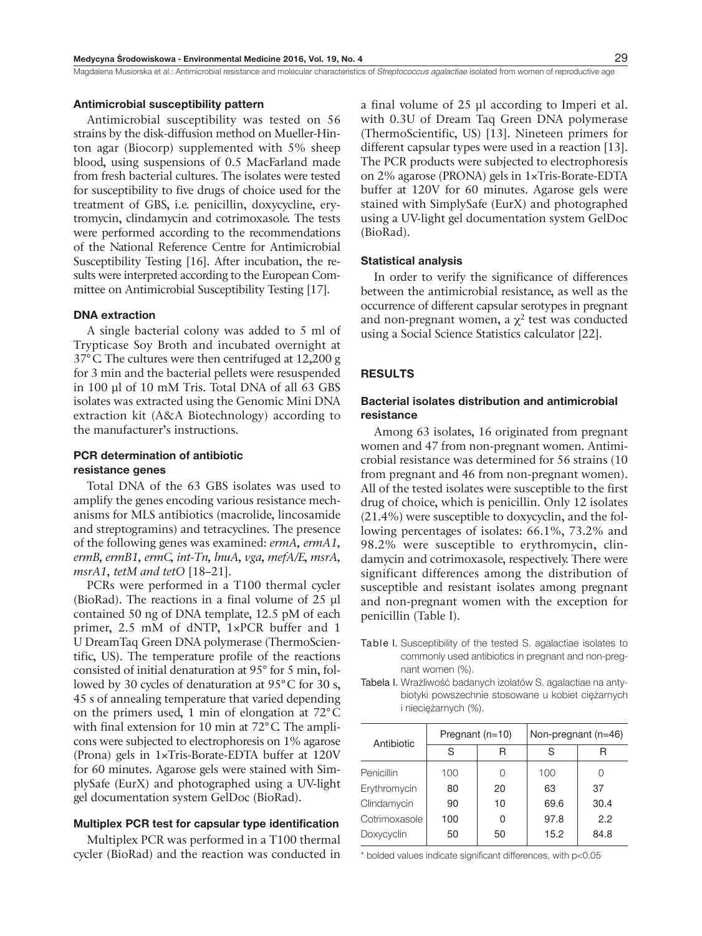### **Antimicrobial susceptibility pattern**

Antimicrobial susceptibility was tested on 56 strains by the disk-diffusion method on Mueller-Hinton agar (Biocorp) supplemented with 5% sheep blood, using suspensions of 0.5 MacFarland made from fresh bacterial cultures. The isolates were tested for susceptibility to five drugs of choice used for the treatment of GBS, i.e. penicillin, doxycycline, erytromycin, clindamycin and cotrimoxasole. The tests were performed according to the recommendations of the National Reference Centre for Antimicrobial Susceptibility Testing [16]. After incubation, the results were interpreted according to the European Committee on Antimicrobial Susceptibility Testing [17].

# **DNA extraction**

A single bacterial colony was added to 5 ml of Trypticase Soy Broth and incubated overnight at 37°C. The cultures were then centrifuged at 12,200 g for 3 min and the bacterial pellets were resuspended in 100 µl of 10 mM Tris. Total DNA of all 63 GBS isolates was extracted using the Genomic Mini DNA extraction kit (A&A Biotechnology) according to the manufacturer's instructions.

# **Pcr determination of antibiotic resistance genes**

Total DNA of the 63 GBS isolates was used to amplify the genes encoding various resistance mechanisms for MLS antibiotics (macrolide, lincosamide and streptogramins) and tetracyclines. The presence of the following genes was examined: *ermA, ermA1, ermB, ermB1, ermC, int-Tn, lnuA, vga, mefA/E, msrA, msrA1, tetM and tetO* [18–21].

PCRs were performed in a T100 thermal cycler (BioRad). The reactions in a final volume of 25 µl contained 50 ng of DNA template, 12.5 pM of each primer, 2.5 mM of dNTP, 1×PCR buffer and 1 U DreamTaq Green DNA polymerase (ThermoScientific, US). The temperature profile of the reactions consisted of initial denaturation at 95° for 5 min, followed by 30 cycles of denaturation at 95°C for 30 s, 45 s of annealing temperature that varied depending on the primers used, 1 min of elongation at 72°C with final extension for 10 min at 72<sup>°</sup>C. The amplicons were subjected to electrophoresis on 1% agarose (Prona) gels in 1×Tris-Borate-EDTA buffer at 120V for 60 minutes. Agarose gels were stained with SimplySafe (EurX) and photographed using a UV-light gel documentation system GelDoc (BioRad).

# **Multiplex Pcr test for capsular type identification**

Multiplex PCR was performed in a T100 thermal cycler (BioRad) and the reaction was conducted in a final volume of 25 µl according to Imperi et al. with 0.3U of Dream Taq Green DNA polymerase (ThermoScientific, US) [13]. Nineteen primers for different capsular types were used in a reaction [13]. The PCR products were subjected to electrophoresis on 2% agarose (PRONA) gels in 1×Tris-Borate-EDTA buffer at 120V for 60 minutes. Agarose gels were stained with SimplySafe (EurX) and photographed using a UV-light gel documentation system GelDoc (BioRad).

#### **statistical analysis**

In order to verify the significance of differences between the antimicrobial resistance, as well as the occurrence of different capsular serotypes in pregnant and non-pregnant women, a  $\chi^2$  test was conducted using a Social Science Statistics calculator [22].

## **rEsults**

# **bacterial isolates distribution and antimicrobial resistance**

Among 63 isolates, 16 originated from pregnant women and 47 from non-pregnant women. Antimicrobial resistance was determined for 56 strains (10 from pregnant and 46 from non-pregnant women). All of the tested isolates were susceptible to the first drug of choice, which is penicillin. Only 12 isolates (21.4%) were susceptible to doxycyclin, and the following percentages of isolates: 66.1%, 73.2% and 98.2% were susceptible to erythromycin, clindamycin and cotrimoxasole, respectively. There were significant differences among the distribution of susceptible and resistant isolates among pregnant and non-pregnant women with the exception for penicillin (Table I).

- Table I. Susceptibility of the tested S. agalactiae isolates to commonly used antibiotics in pregnant and non-pregnant women (%).
- Tabela I. Wrażliwość badanych izolatów S. agalactiae na antybiotyki powszechnie stosowane u kobiet ciężarnych i nieciężarnych (%).

| Antibiotic    | Pregnant (n=10) |    | Non-pregnant $(n=46)$ |      |  |
|---------------|-----------------|----|-----------------------|------|--|
|               | S               | R  | S                     | R    |  |
| Penicillin    | 100             | O  | 100                   |      |  |
| Erythromycin  | 80              | 20 | 63                    | 37   |  |
| Clindamycin   | 90              | 10 | 69.6                  | 30.4 |  |
| Cotrimoxasole | 100             | 0  | 97.8                  | 2.2  |  |
| Doxycyclin    | 50              | 50 | 15.2                  | 84.8 |  |

\* bolded values indicate significant differences, with p<0.05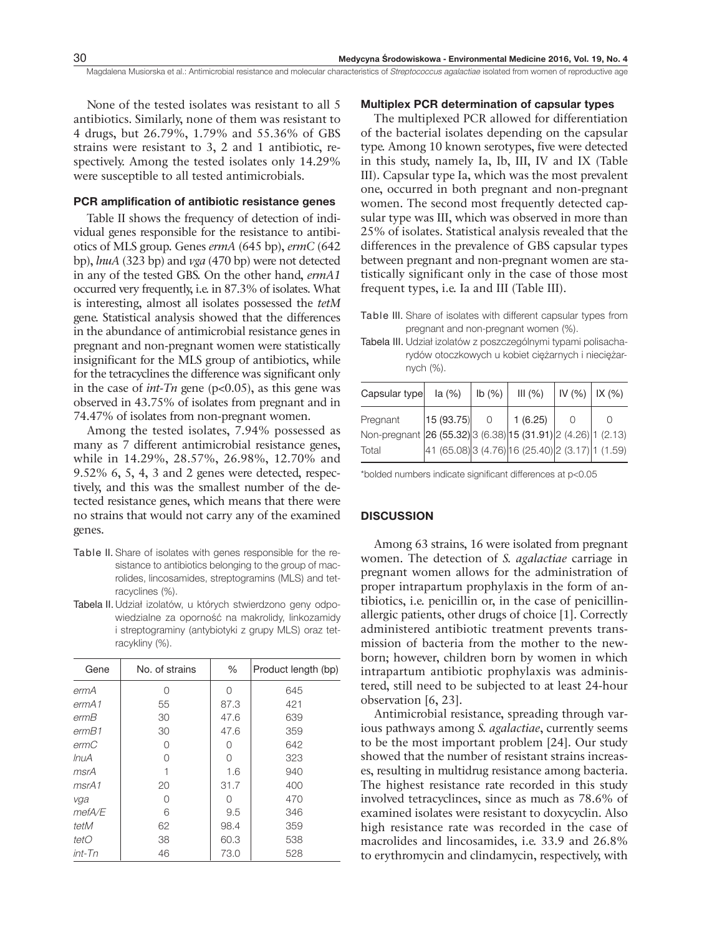None of the tested isolates was resistant to all 5 antibiotics. Similarly, none of them was resistant to 4 drugs, but 26.79%, 1.79% and 55.36% of GBS strains were resistant to 3, 2 and 1 antibiotic, respectively. Among the tested isolates only 14.29% were susceptible to all tested antimicrobials.

#### **Pcr amplification of antibiotic resistance genes**

Table II shows the frequency of detection of individual genes responsible for the resistance to antibiotics of MLS group. Genes *ermA* (645 bp), *ermC* (642 bp), *lnuA* (323 bp) and *vga* (470 bp) were not detected in any of the tested GBS. On the other hand, *ermA1* occurred very frequently, i.e. in 87.3% of isolates. What is interesting, almost all isolates possessed the *tetM* gene. Statistical analysis showed that the differences in the abundance of antimicrobial resistance genes in pregnant and non-pregnant women were statistically insignificant for the MLS group of antibiotics, while for the tetracyclines the difference was significant only in the case of *int-Tn* gene (p<0.05), as this gene was observed in 43.75% of isolates from pregnant and in 74.47% of isolates from non-pregnant women.

Among the tested isolates, 7.94% possessed as many as 7 different antimicrobial resistance genes, while in 14.29%, 28.57%, 26.98%, 12.70% and 9.52% 6, 5, 4, 3 and 2 genes were detected, respectively, and this was the smallest number of the detected resistance genes, which means that there were no strains that would not carry any of the examined genes.

- Table II. Share of isolates with genes responsible for the resistance to antibiotics belonging to the group of macrolides, lincosamides, streptogramins (MLS) and tetracyclines (%).
- Tabela II. Udział izolatów, u których stwierdzono geny odpowiedzialne za oporność na makrolidy, linkozamidy i streptograminy (antybiotyki z grupy MLS) oraz tetracykliny (%).

| Gene         | No. of strains | %    | Product length (bp) |  |
|--------------|----------------|------|---------------------|--|
| ermA         | ∩              | ∩    | 645                 |  |
| ermA1        | 55             | 87.3 | 421                 |  |
| ermB         | 30             | 47.6 | 639                 |  |
| ermB1        | 30             | 47.6 | 359                 |  |
| ermC         | Ω              | ∩    | 642                 |  |
| <i>InuA</i>  | Ω              | 0    | 323                 |  |
| msrA         |                | 1.6  | 940                 |  |
| msrA1        | 20             | 31.7 | 400                 |  |
| vga          | ∩              | ∩    | 470                 |  |
| $m$ ef $A/E$ | 6              | 9.5  | 346                 |  |
| tetM         | 62             | 98.4 | 359                 |  |
| tetO         | 38             | 60.3 | 538                 |  |
| $int-Tn$     | 46             | 73.0 | 528                 |  |

#### **Multiplex Pcr determination of capsular types**

The multiplexed PCR allowed for differentiation of the bacterial isolates depending on the capsular type. Among 10 known serotypes, five were detected in this study, namely Ia, Ib, III, IV and IX (Table III). Capsular type Ia, which was the most prevalent one, occurred in both pregnant and non-pregnant women. The second most frequently detected capsular type was III, which was observed in more than 25% of isolates. Statistical analysis revealed that the differences in the prevalence of GBS capsular types between pregnant and non-pregnant women are statistically significant only in the case of those most frequent types, i.e. Ia and III (Table III).

Table III. Share of isolates with different capsular types from pregnant and non-pregnant women (%).

Tabela III. Udział izolatów z poszczególnymi typami polisacharydów otoczkowych u kobiet ciężarnych i nieciężarnych (%).

| Capsular type                                                 | la(% )                                           | lb(%)    | III(%)  | IV (%)   IX (%) |  |
|---------------------------------------------------------------|--------------------------------------------------|----------|---------|-----------------|--|
| Pregnant                                                      | 15(93.75)                                        | $\Omega$ | 1(6.25) |                 |  |
| Non-pregnant 26 (55.32) 3 (6.38) 15 (31.91) 2 (4.26) 1 (2.13) |                                                  |          |         |                 |  |
| Total                                                         | 41 (65.08) 3 (4.76) 16 (25.40) 2 (3.17) 1 (1.59) |          |         |                 |  |

\*bolded numbers indicate significant differences at p<0.05

## **DIscussION**

Among 63 strains, 16 were isolated from pregnant women. The detection of *S. agalactiae* carriage in pregnant women allows for the administration of proper intrapartum prophylaxis in the form of antibiotics, i.e. penicillin or, in the case of penicillinallergic patients, other drugs of choice [1]. Correctly administered antibiotic treatment prevents transmission of bacteria from the mother to the newborn; however, children born by women in which intrapartum antibiotic prophylaxis was administered, still need to be subjected to at least 24-hour observation [6, 23].

Antimicrobial resistance, spreading through various pathways among *S. agalactiae*, currently seems to be the most important problem [24]. Our study showed that the number of resistant strains increases, resulting in multidrug resistance among bacteria. The highest resistance rate recorded in this study involved tetracyclinces, since as much as 78.6% of examined isolates were resistant to doxycyclin. Also high resistance rate was recorded in the case of macrolides and lincosamides, i.e. 33.9 and 26.8% to erythromycin and clindamycin, respectively, with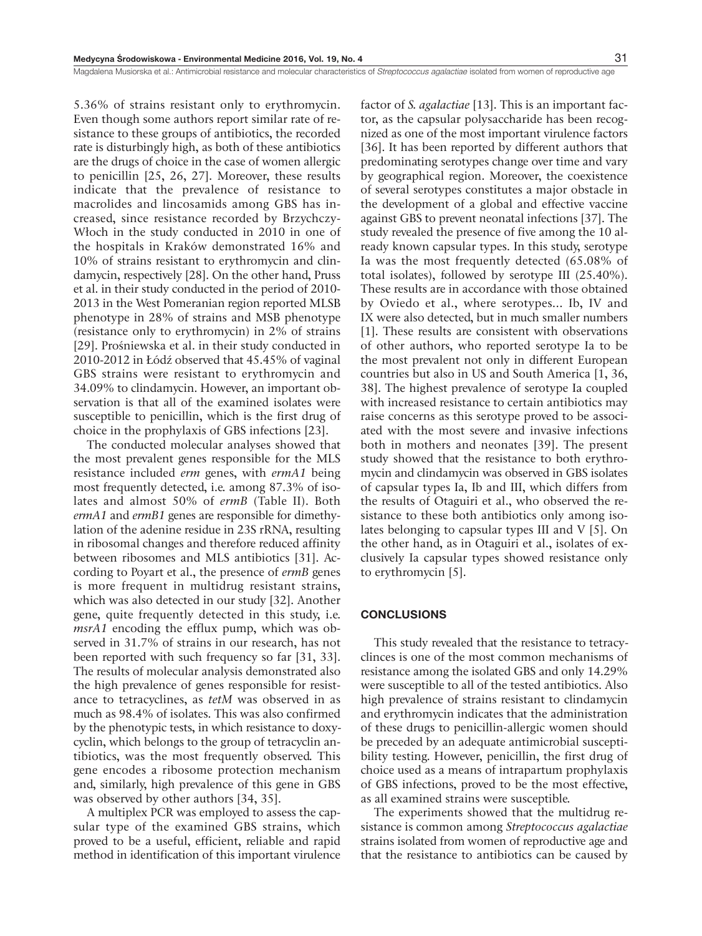5.36% of strains resistant only to erythromycin. Even though some authors report similar rate of resistance to these groups of antibiotics, the recorded rate is disturbingly high, as both of these antibiotics are the drugs of choice in the case of women allergic to penicillin [25, 26, 27]. Moreover, these results indicate that the prevalence of resistance to macrolides and lincosamids among GBS has increased, since resistance recorded by Brzychczy-Włoch in the study conducted in 2010 in one of the hospitals in Kraków demonstrated 16% and 10% of strains resistant to erythromycin and clindamycin, respectively [28]. On the other hand, Pruss et al. in their study conducted in the period of 2010- 2013 in the West Pomeranian region reported MLSB phenotype in 28% of strains and MSB phenotype (resistance only to erythromycin) in 2% of strains [29]. Prośniewska et al. in their study conducted in 2010-2012 in Łódź observed that 45.45% of vaginal GBS strains were resistant to erythromycin and 34.09% to clindamycin. However, an important observation is that all of the examined isolates were susceptible to penicillin, which is the first drug of choice in the prophylaxis of GBS infections [23].

The conducted molecular analyses showed that the most prevalent genes responsible for the MLS resistance included *erm* genes, with *ermA1* being most frequently detected, i.e. among 87.3% of isolates and almost 50% of *ermB* (Table II). Both *ermA1* and *ermB1* genes are responsible for dimethylation of the adenine residue in 23S rRNA, resulting in ribosomal changes and therefore reduced affinity between ribosomes and MLS antibiotics [31]. According to Poyart et al., the presence of *ermB* genes is more frequent in multidrug resistant strains, which was also detected in our study [32]. Another gene, quite frequently detected in this study, i.e. *msrA1* encoding the efflux pump, which was observed in 31.7% of strains in our research, has not been reported with such frequency so far [31, 33]. The results of molecular analysis demonstrated also the high prevalence of genes responsible for resistance to tetracyclines, as *tetM* was observed in as much as 98.4% of isolates. This was also confirmed by the phenotypic tests, in which resistance to doxycyclin, which belongs to the group of tetracyclin antibiotics, was the most frequently observed. This gene encodes a ribosome protection mechanism and, similarly, high prevalence of this gene in GBS was observed by other authors [34, 35].

A multiplex PCR was employed to assess the capsular type of the examined GBS strains, which proved to be a useful, efficient, reliable and rapid method in identification of this important virulence

factor of *S. agalactiae* [13]. This is an important factor, as the capsular polysaccharide has been recognized as one of the most important virulence factors [36]. It has been reported by different authors that predominating serotypes change over time and vary by geographical region. Moreover, the coexistence of several serotypes constitutes a major obstacle in the development of a global and effective vaccine against GBS to prevent neonatal infections [37]. The study revealed the presence of five among the 10 already known capsular types. In this study, serotype Ia was the most frequently detected (65.08% of total isolates), followed by serotype III (25.40%). These results are in accordance with those obtained by Oviedo et al., where serotypes... Ib, IV and IX were also detected, but in much smaller numbers [1]. These results are consistent with observations of other authors, who reported serotype Ia to be the most prevalent not only in different European countries but also in US and South America [1, 36, 38]. The highest prevalence of serotype Ia coupled with increased resistance to certain antibiotics may raise concerns as this serotype proved to be associated with the most severe and invasive infections both in mothers and neonates [39]. The present study showed that the resistance to both erythromycin and clindamycin was observed in GBS isolates of capsular types Ia, Ib and III, which differs from the results of Otaguiri et al., who observed the resistance to these both antibiotics only among isolates belonging to capsular types III and V [5]. On the other hand, as in Otaguiri et al., isolates of exclusively Ia capsular types showed resistance only to erythromycin [5].

## **cONclusIONs**

This study revealed that the resistance to tetracyclinces is one of the most common mechanisms of resistance among the isolated GBS and only 14.29% were susceptible to all of the tested antibiotics. Also high prevalence of strains resistant to clindamycin and erythromycin indicates that the administration of these drugs to penicillin-allergic women should be preceded by an adequate antimicrobial susceptibility testing. However, penicillin, the first drug of choice used as a means of intrapartum prophylaxis of GBS infections, proved to be the most effective, as all examined strains were susceptible.

The experiments showed that the multidrug resistance is common among *Streptococcus agalactiae* strains isolated from women of reproductive age and that the resistance to antibiotics can be caused by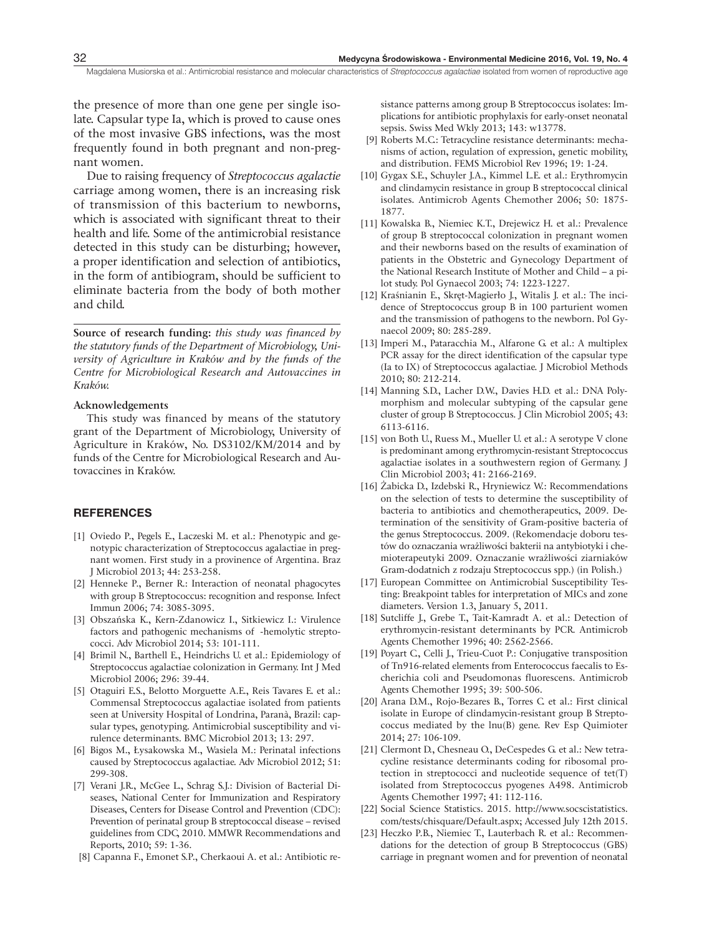the presence of more than one gene per single isolate. Capsular type Ia, which is proved to cause ones of the most invasive GBS infections, was the most frequently found in both pregnant and non-pregnant women.

Due to raising frequency of *Streptococcus agalactie* carriage among women, there is an increasing risk of transmission of this bacterium to newborns, which is associated with significant threat to their health and life. Some of the antimicrobial resistance detected in this study can be disturbing; however, a proper identification and selection of antibiotics, in the form of antibiogram, should be sufficient to eliminate bacteria from the body of both mother and child.

**Source of research funding:** *this study was financed by the statutory funds of the Department of Microbiology, University of Agriculture in Kraków and by the funds of the Centre for Microbiological Research and Autovaccines in Kraków.*

# **Acknowledgements**

This study was financed by means of the statutory grant of the Department of Microbiology, University of Agriculture in Kraków, No. DS3102/KM/2014 and by funds of the Centre for Microbiological Research and Autovaccines in Kraków.

#### **rEfErENcEs**

- [1] Oviedo P., Pegels E., Laczeski M. et al.: Phenotypic and genotypic characterization of Streptococcus agalactiae in pregnant women. First study in a provinence of Argentina. Braz J Microbiol 2013; 44: 253-258.
- [2] Henneke P., Berner R.: Interaction of neonatal phagocytes with group B Streptococcus: recognition and response. Infect Immun 2006; 74: 3085-3095.
- [3] Obszańska K., Kern-Zdanowicz I., Sitkiewicz I.: Virulence factors and pathogenic mechanisms of -hemolytic streptococci. Adv Microbiol 2014; 53: 101-111.
- [4] Brimil N., Barthell E., Heindrichs U. et al.: Epidemiology of Streptococcus agalactiae colonization in Germany. Int J Med Microbiol 2006; 296: 39-44.
- [5] Otaguiri E.S., Belotto Morguette A.E., Reis Tavares E. et al.: Commensal Streptococcus agalactiae isolated from patients seen at University Hospital of Londrina, Paranà, Brazil: capsular types, genotyping. Antimicrobial susceptibility and virulence determinants. BMC Microbiol 2013; 13: 297.
- [6] Bigos M., Łysakowska M., Wasiela M.: Perinatal infections caused by Streptococcus agalactiae. Adv Microbiol 2012; 51: 299-308.
- [7] Verani J.R., McGee L., Schrag S.J.: Division of Bacterial Diseases, National Center for Immunization and Respiratory Diseases, Centers for Disease Control and Prevention (CDC): Prevention of perinatal group B streptococcal disease – revised guidelines from CDC, 2010. MMWR Recommendations and Reports, 2010; 59: 1-36.
- [8] Capanna F., Emonet S.P., Cherkaoui A. et al.: Antibiotic re-

sistance patterns among group B Streptococcus isolates: Implications for antibiotic prophylaxis for early-onset neonatal sepsis. Swiss Med Wkly 2013; 143: w13778.

- [9] Roberts M.C.: Tetracycline resistance determinants: mechanisms of action, regulation of expression, genetic mobility, and distribution. FEMS Microbiol Rev 1996; 19: 1-24.
- [10] Gygax S.E., Schuyler J.A., Kimmel L.E. et al.: Erythromycin and clindamycin resistance in group B streptococcal clinical isolates. Antimicrob Agents Chemother 2006; 50: 1875- 1877.
- [11] Kowalska B., Niemiec K.T., Drejewicz H. et al.: Prevalence of group B streptococcal colonization in pregnant women and their newborns based on the results of examination of patients in the Obstetric and Gynecology Department of the National Research Institute of Mother and Child – a pilot study. Pol Gynaecol 2003; 74: 1223-1227.
- [12] Kraśnianin E., Skręt-Magierło J., Witalis J. et al.: The incidence of Streptococcus group B in 100 parturient women and the transmission of pathogens to the newborn. Pol Gynaecol 2009; 80: 285-289.
- [13] Imperi M., Pataracchia M., Alfarone G. et al.: A multiplex PCR assay for the direct identification of the capsular type (Ia to IX) of Streptococcus agalactiae. J Microbiol Methods 2010; 80: 212-214.
- [14] Manning S.D., Lacher D.W., Davies H.D. et al.: DNA Polymorphism and molecular subtyping of the capsular gene cluster of group B Streptococcus. J Clin Microbiol 2005; 43: 6113-6116.
- [15] von Both U., Ruess M., Mueller U. et al.: A serotype V clone is predominant among erythromycin-resistant Streptococcus agalactiae isolates in a southwestern region of Germany. J Clin Microbiol 2003; 41: 2166-2169.
- [16] Żabicka D., Izdebski R., Hryniewicz W.: Recommendations on the selection of tests to determine the susceptibility of bacteria to antibiotics and chemotherapeutics, 2009. Determination of the sensitivity of Gram-positive bacteria of the genus Streptococcus. 2009. (Rekomendacje doboru testów do oznaczania wrażliwości bakterii na antybiotyki i chemioterapeutyki 2009. Oznaczanie wrażliwości ziarniaków Gram-dodatnich z rodzaju Streptococcus spp.) (in Polish.)
- [17] European Committee on Antimicrobial Susceptibility Testing: Breakpoint tables for interpretation of MICs and zone diameters. Version 1.3, January 5, 2011.
- [18] Sutcliffe J., Grebe T., Tait-Kamradt A. et al.: Detection of erythromycin-resistant determinants by PCR. Antimicrob Agents Chemother 1996; 40: 2562-2566.
- [19] Poyart C., Celli J., Trieu-Cuot P.: Conjugative transposition of Tn916-related elements from Enterococcus faecalis to Escherichia coli and Pseudomonas fluorescens. Antimicrob Agents Chemother 1995; 39: 500-506.
- [20] Arana D.M., Rojo-Bezares B., Torres C. et al.: First clinical isolate in Europe of clindamycin-resistant group B Streptococcus mediated by the lnu(B) gene. Rev Esp Quimioter 2014; 27: 106-109.
- [21] Clermont D., Chesneau O., DeCespedes G. et al.: New tetracycline resistance determinants coding for ribosomal protection in streptococci and nucleotide sequence of tet(T) isolated from Streptococcus pyogenes A498. Antimicrob Agents Chemother 1997; 41: 112-116.
- [22] Social Science Statistics. 2015. http://www.socscistatistics. com/tests/chisquare/Default.aspx; Accessed July 12th 2015.
- [23] Heczko P.B., Niemiec T., Lauterbach R. et al.: Recommendations for the detection of group B Streptococcus (GBS) carriage in pregnant women and for prevention of neonatal